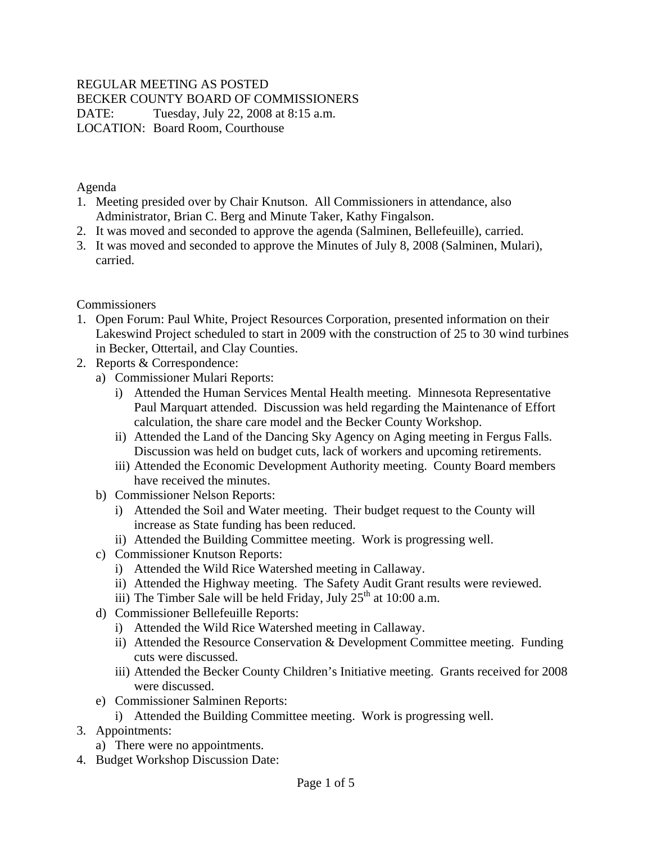## REGULAR MEETING AS POSTED

BECKER COUNTY BOARD OF COMMISSIONERS

DATE: Tuesday, July 22, 2008 at 8:15 a.m. LOCATION: Board Room, Courthouse

Agenda

- 1. Meeting presided over by Chair Knutson. All Commissioners in attendance, also Administrator, Brian C. Berg and Minute Taker, Kathy Fingalson.
- 2. It was moved and seconded to approve the agenda (Salminen, Bellefeuille), carried.
- 3. It was moved and seconded to approve the Minutes of July 8, 2008 (Salminen, Mulari), carried.

**Commissioners** 

- 1. Open Forum: Paul White, Project Resources Corporation, presented information on their Lakeswind Project scheduled to start in 2009 with the construction of 25 to 30 wind turbines in Becker, Ottertail, and Clay Counties.
- 2. Reports & Correspondence:
	- a) Commissioner Mulari Reports:
		- i) Attended the Human Services Mental Health meeting. Minnesota Representative Paul Marquart attended. Discussion was held regarding the Maintenance of Effort calculation, the share care model and the Becker County Workshop.
		- ii) Attended the Land of the Dancing Sky Agency on Aging meeting in Fergus Falls. Discussion was held on budget cuts, lack of workers and upcoming retirements.
		- iii) Attended the Economic Development Authority meeting. County Board members have received the minutes.
	- b) Commissioner Nelson Reports:
		- i) Attended the Soil and Water meeting. Their budget request to the County will increase as State funding has been reduced.
		- ii) Attended the Building Committee meeting. Work is progressing well.
	- c) Commissioner Knutson Reports:
		- i) Attended the Wild Rice Watershed meeting in Callaway.
		- ii) Attended the Highway meeting. The Safety Audit Grant results were reviewed.
		- iii) The Timber Sale will be held Friday, July  $25<sup>th</sup>$  at 10:00 a.m.
	- d) Commissioner Bellefeuille Reports:
		- i) Attended the Wild Rice Watershed meeting in Callaway.
		- ii) Attended the Resource Conservation & Development Committee meeting. Funding cuts were discussed.
		- iii) Attended the Becker County Children's Initiative meeting. Grants received for 2008 were discussed.
	- e) Commissioner Salminen Reports:
		- i) Attended the Building Committee meeting. Work is progressing well.
- 3. Appointments:
	- a) There were no appointments.
- 4. Budget Workshop Discussion Date: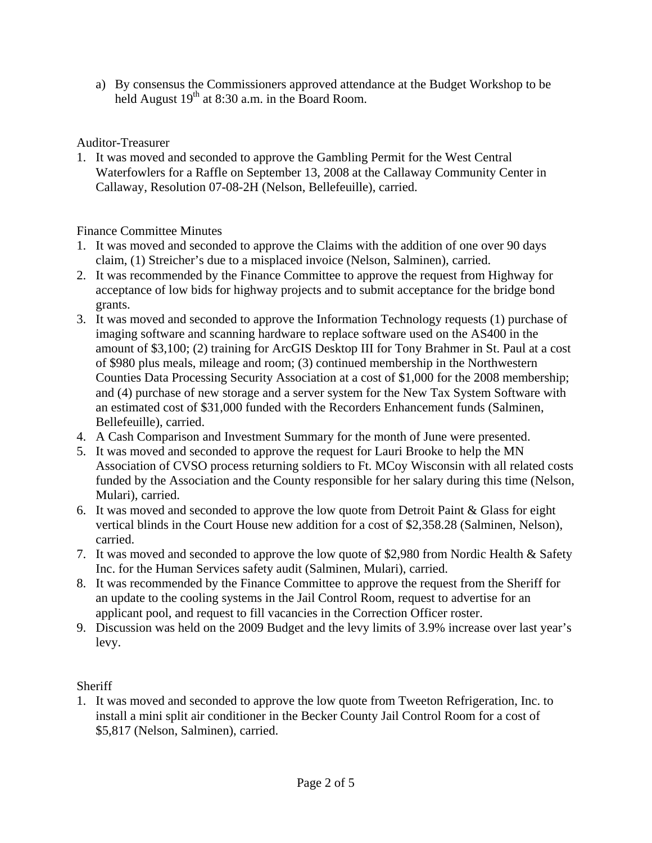a) By consensus the Commissioners approved attendance at the Budget Workshop to be held August 19<sup>th</sup> at 8:30 a.m. in the Board Room.

Auditor-Treasurer

1. It was moved and seconded to approve the Gambling Permit for the West Central Waterfowlers for a Raffle on September 13, 2008 at the Callaway Community Center in Callaway, Resolution 07-08-2H (Nelson, Bellefeuille), carried.

Finance Committee Minutes

- 1. It was moved and seconded to approve the Claims with the addition of one over 90 days claim, (1) Streicher's due to a misplaced invoice (Nelson, Salminen), carried.
- 2. It was recommended by the Finance Committee to approve the request from Highway for acceptance of low bids for highway projects and to submit acceptance for the bridge bond grants.
- 3. It was moved and seconded to approve the Information Technology requests (1) purchase of imaging software and scanning hardware to replace software used on the AS400 in the amount of \$3,100; (2) training for ArcGIS Desktop III for Tony Brahmer in St. Paul at a cost of \$980 plus meals, mileage and room; (3) continued membership in the Northwestern Counties Data Processing Security Association at a cost of \$1,000 for the 2008 membership; and (4) purchase of new storage and a server system for the New Tax System Software with an estimated cost of \$31,000 funded with the Recorders Enhancement funds (Salminen, Bellefeuille), carried.
- 4. A Cash Comparison and Investment Summary for the month of June were presented.
- 5. It was moved and seconded to approve the request for Lauri Brooke to help the MN Association of CVSO process returning soldiers to Ft. MCoy Wisconsin with all related costs funded by the Association and the County responsible for her salary during this time (Nelson, Mulari), carried.
- 6. It was moved and seconded to approve the low quote from Detroit Paint & Glass for eight vertical blinds in the Court House new addition for a cost of \$2,358.28 (Salminen, Nelson), carried.
- 7. It was moved and seconded to approve the low quote of \$2,980 from Nordic Health & Safety Inc. for the Human Services safety audit (Salminen, Mulari), carried.
- 8. It was recommended by the Finance Committee to approve the request from the Sheriff for an update to the cooling systems in the Jail Control Room, request to advertise for an applicant pool, and request to fill vacancies in the Correction Officer roster.
- 9. Discussion was held on the 2009 Budget and the levy limits of 3.9% increase over last year's levy.

**Sheriff** 

1. It was moved and seconded to approve the low quote from Tweeton Refrigeration, Inc. to install a mini split air conditioner in the Becker County Jail Control Room for a cost of \$5,817 (Nelson, Salminen), carried.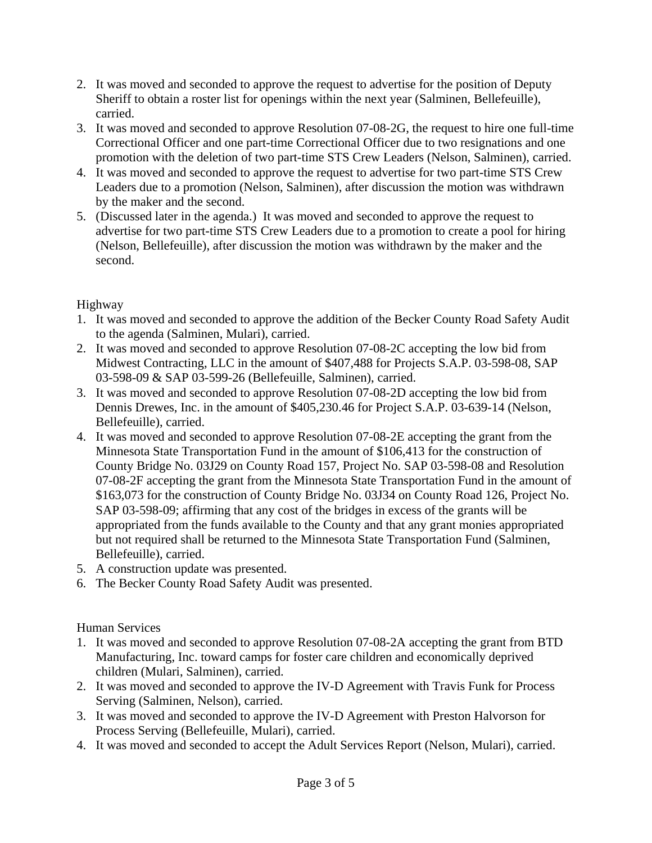- 2. It was moved and seconded to approve the request to advertise for the position of Deputy Sheriff to obtain a roster list for openings within the next year (Salminen, Bellefeuille), carried.
- 3. It was moved and seconded to approve Resolution 07-08-2G, the request to hire one full-time Correctional Officer and one part-time Correctional Officer due to two resignations and one promotion with the deletion of two part-time STS Crew Leaders (Nelson, Salminen), carried.
- 4. It was moved and seconded to approve the request to advertise for two part-time STS Crew Leaders due to a promotion (Nelson, Salminen), after discussion the motion was withdrawn by the maker and the second.
- 5. (Discussed later in the agenda.) It was moved and seconded to approve the request to advertise for two part-time STS Crew Leaders due to a promotion to create a pool for hiring (Nelson, Bellefeuille), after discussion the motion was withdrawn by the maker and the second.

## Highway

- 1. It was moved and seconded to approve the addition of the Becker County Road Safety Audit to the agenda (Salminen, Mulari), carried.
- 2. It was moved and seconded to approve Resolution 07-08-2C accepting the low bid from Midwest Contracting, LLC in the amount of \$407,488 for Projects S.A.P. 03-598-08, SAP 03-598-09 & SAP 03-599-26 (Bellefeuille, Salminen), carried.
- 3. It was moved and seconded to approve Resolution 07-08-2D accepting the low bid from Dennis Drewes, Inc. in the amount of \$405,230.46 for Project S.A.P. 03-639-14 (Nelson, Bellefeuille), carried.
- 4. It was moved and seconded to approve Resolution 07-08-2E accepting the grant from the Minnesota State Transportation Fund in the amount of \$106,413 for the construction of County Bridge No. 03J29 on County Road 157, Project No. SAP 03-598-08 and Resolution 07-08-2F accepting the grant from the Minnesota State Transportation Fund in the amount of \$163,073 for the construction of County Bridge No. 03J34 on County Road 126, Project No. SAP 03-598-09; affirming that any cost of the bridges in excess of the grants will be appropriated from the funds available to the County and that any grant monies appropriated but not required shall be returned to the Minnesota State Transportation Fund (Salminen, Bellefeuille), carried.
- 5. A construction update was presented.
- 6. The Becker County Road Safety Audit was presented.

## Human Services

- 1. It was moved and seconded to approve Resolution 07-08-2A accepting the grant from BTD Manufacturing, Inc. toward camps for foster care children and economically deprived children (Mulari, Salminen), carried.
- 2. It was moved and seconded to approve the IV-D Agreement with Travis Funk for Process Serving (Salminen, Nelson), carried.
- 3. It was moved and seconded to approve the IV-D Agreement with Preston Halvorson for Process Serving (Bellefeuille, Mulari), carried.
- 4. It was moved and seconded to accept the Adult Services Report (Nelson, Mulari), carried.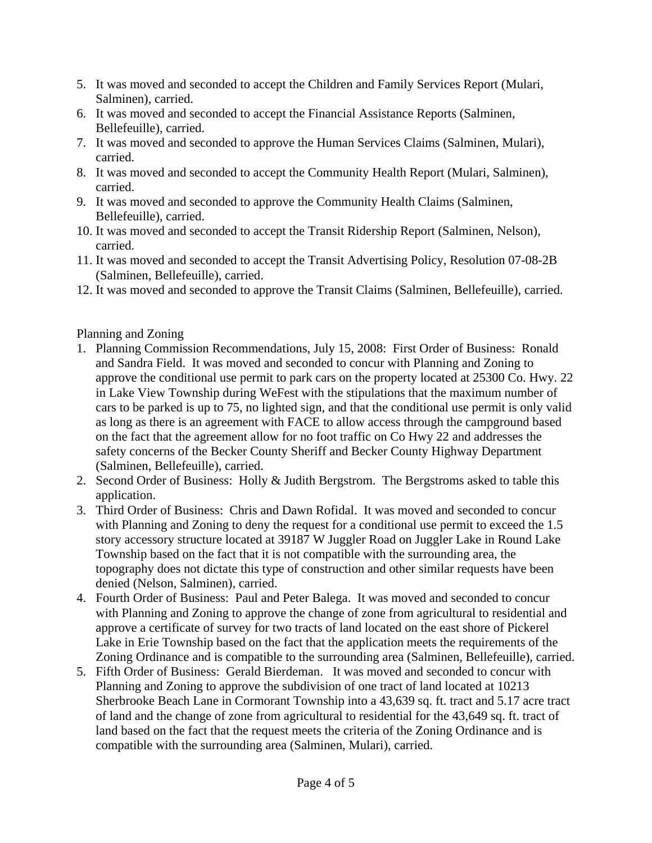- 5. It was moved and seconded to accept the Children and Family Services Report (Mulari, Salminen), carried.
- 6. It was moved and seconded to accept the Financial Assistance Reports (Salminen, Bellefeuille), carried.
- 7. It was moved and seconded to approve the Human Services Claims (Salminen, Mulari), carried.
- 8. It was moved and seconded to accept the Community Health Report (Mulari, Salminen), carried.
- 9. It was moved and seconded to approve the Community Health Claims (Salminen, Bellefeuille), carried.
- 10. It was moved and seconded to accept the Transit Ridership Report (Salminen, Nelson), carried.
- 11. It was moved and seconded to accept the Transit Advertising Policy, Resolution 07-08-2B (Salminen, Bellefeuille), carried.
- 12. It was moved and seconded to approve the Transit Claims (Salminen, Bellefeuille), carried.

## Planning and Zoning

- 1. Planning Commission Recommendations, July 15, 2008: First Order of Business: Ronald and Sandra Field. It was moved and seconded to concur with Planning and Zoning to approve the conditional use permit to park cars on the property located at 25300 Co. Hwy. 22 in Lake View Township during WeFest with the stipulations that the maximum number of cars to be parked is up to 75, no lighted sign, and that the conditional use permit is only valid as long as there is an agreement with FACE to allow access through the campground based on the fact that the agreement allow for no foot traffic on Co Hwy 22 and addresses the safety concerns of the Becker County Sheriff and Becker County Highway Department (Salminen, Bellefeuille), carried.
- 2. Second Order of Business: Holly & Judith Bergstrom. The Bergstroms asked to table this application.
- 3. Third Order of Business: Chris and Dawn Rofidal. It was moved and seconded to concur with Planning and Zoning to deny the request for a conditional use permit to exceed the 1.5 story accessory structure located at 39187 W Juggler Road on Juggler Lake in Round Lake Township based on the fact that it is not compatible with the surrounding area, the topography does not dictate this type of construction and other similar requests have been denied (Nelson, Salminen), carried.
- 4. Fourth Order of Business: Paul and Peter Balega. It was moved and seconded to concur with Planning and Zoning to approve the change of zone from agricultural to residential and approve a certificate of survey for two tracts of land located on the east shore of Pickerel Lake in Erie Township based on the fact that the application meets the requirements of the Zoning Ordinance and is compatible to the surrounding area (Salminen, Bellefeuille), carried.
- 5. Fifth Order of Business: Gerald Bierdeman. It was moved and seconded to concur with Planning and Zoning to approve the subdivision of one tract of land located at 10213 Sherbrooke Beach Lane in Cormorant Township into a 43,639 sq. ft. tract and 5.17 acre tract of land and the change of zone from agricultural to residential for the 43,649 sq. ft. tract of land based on the fact that the request meets the criteria of the Zoning Ordinance and is compatible with the surrounding area (Salminen, Mulari), carried.